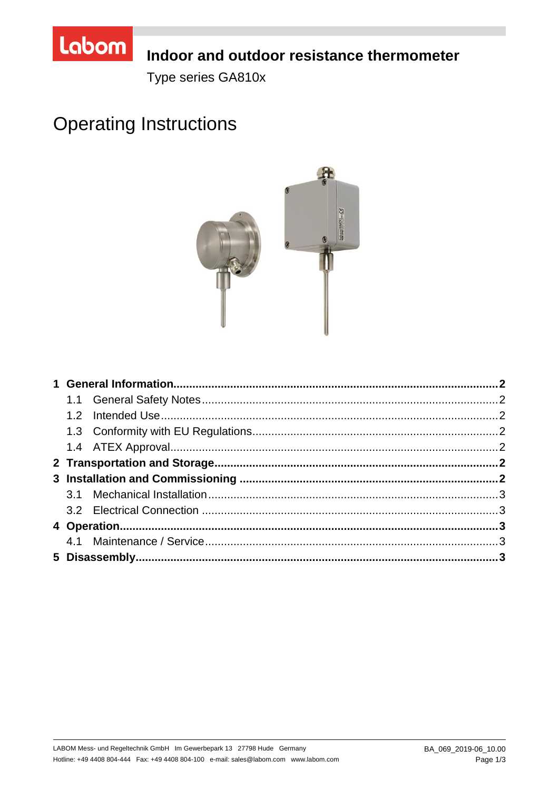

# Indoor and outdoor resistance thermometer

Type series GA810x

# **Operating Instructions**

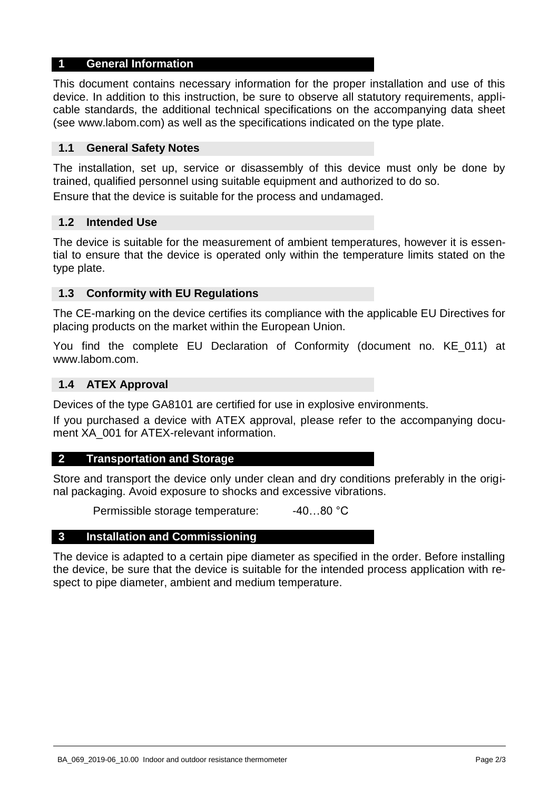## **1 General Information**

This document contains necessary information for the proper installation and use of this device. In addition to this instruction, be sure to observe all statutory requirements, applicable standards, the additional technical specifications on the accompanying data sheet (see www.labom.com) as well as the specifications indicated on the type plate.

## **1.1 General Safety Notes**

The installation, set up, service or disassembly of this device must only be done by trained, qualified personnel using suitable equipment and authorized to do so.

Ensure that the device is suitable for the process and undamaged.

#### **1.2 Intended Use**

The device is suitable for the measurement of ambient temperatures, however it is essential to ensure that the device is operated only within the temperature limits stated on the type plate.

#### **1.3 Conformity with EU Regulations**

The CE-marking on the device certifies its compliance with the applicable EU Directives for placing products on the market within the European Union.

You find the complete EU Declaration of Conformity (document no. KE\_011) at www.labom.com.

#### **1.4 ATEX Approval**

Devices of the type GA8101 are certified for use in explosive environments.

If you purchased a device with ATEX approval, please refer to the accompanying document XA\_001 for ATEX-relevant information.

#### **2 Transportation and Storage**

Store and transport the device only under clean and dry conditions preferably in the original packaging. Avoid exposure to shocks and excessive vibrations.

Permissible storage temperature: -40...80 °C

#### **3 Installation and Commissioning**

The device is adapted to a certain pipe diameter as specified in the order. Before installing the device, be sure that the device is suitable for the intended process application with respect to pipe diameter, ambient and medium temperature.